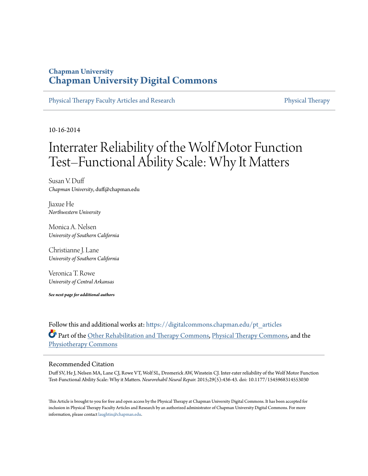# **Chapman University [Chapman University Digital Commons](https://digitalcommons.chapman.edu?utm_source=digitalcommons.chapman.edu%2Fpt_articles%2F96&utm_medium=PDF&utm_campaign=PDFCoverPages)**

[Physical Therapy Faculty Articles and Research](https://digitalcommons.chapman.edu/pt_articles?utm_source=digitalcommons.chapman.edu%2Fpt_articles%2F96&utm_medium=PDF&utm_campaign=PDFCoverPages) [Physical Therapy](https://digitalcommons.chapman.edu/physicaltherapy?utm_source=digitalcommons.chapman.edu%2Fpt_articles%2F96&utm_medium=PDF&utm_campaign=PDFCoverPages)

10-16-2014

# Interrater Reliability of the Wolf Motor Function Test–Functional Ability Scale: Why It Matters

Susan V. Duff *Chapman University*, duff@chapman.edu

Jiaxue He *Northwestern University*

Monica A. Nelsen *University of Southern California*

Christianne J. Lane *University of Southern California*

Veronica T. Rowe *University of Central Arkansas*

*See next page for additional authors*

Follow this and additional works at: [https://digitalcommons.chapman.edu/pt\\_articles](https://digitalcommons.chapman.edu/pt_articles?utm_source=digitalcommons.chapman.edu%2Fpt_articles%2F96&utm_medium=PDF&utm_campaign=PDFCoverPages) Part of the [Other Rehabilitation and Therapy Commons,](http://network.bepress.com/hgg/discipline/758?utm_source=digitalcommons.chapman.edu%2Fpt_articles%2F96&utm_medium=PDF&utm_campaign=PDFCoverPages) [Physical Therapy Commons,](http://network.bepress.com/hgg/discipline/754?utm_source=digitalcommons.chapman.edu%2Fpt_articles%2F96&utm_medium=PDF&utm_campaign=PDFCoverPages) and the [Physiotherapy Commons](http://network.bepress.com/hgg/discipline/1086?utm_source=digitalcommons.chapman.edu%2Fpt_articles%2F96&utm_medium=PDF&utm_campaign=PDFCoverPages)

#### Recommended Citation

Duff SV, He J, Nelsen MA, Lane CJ, Rowe VT, Wolf SL, Dromerick AW, Winstein CJ. Inter-rater reliability of the Wolf Motor Function Test-Functional Ability Scale: Why it Matters. *Neurorehabil Neural Repair.* 2015;29(5):436-43. doi: 10.1177/1545968314553030

This Article is brought to you for free and open access by the Physical Therapy at Chapman University Digital Commons. It has been accepted for inclusion in Physical Therapy Faculty Articles and Research by an authorized administrator of Chapman University Digital Commons. For more information, please contact [laughtin@chapman.edu](mailto:laughtin@chapman.edu).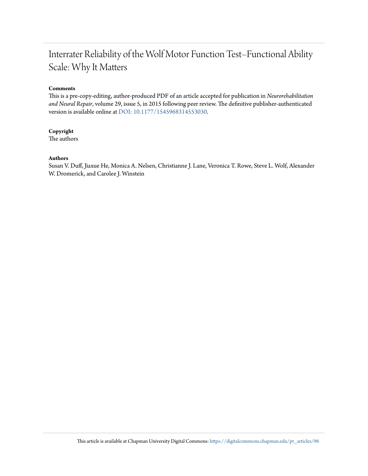# Interrater Reliability of the Wolf Motor Function Test–Functional Ability Scale: Why It Matters

#### **Comments**

This is a pre-copy-editing, author-produced PDF of an article accepted for publication in *Neurorehabilitation and Neural Repair*, volume 29, issue 5, in 2015 following peer review. The definitive publisher-authenticated version is available online at [DOI: 10.1177/1545968314553030](https://doi.org/10.1177/1545968314553030).

#### **Copyright**

The authors

#### **Authors**

Susan V. Duff, Jiaxue He, Monica A. Nelsen, Christianne J. Lane, Veronica T. Rowe, Steve L. Wolf, Alexander W. Dromerick, and Carolee J. Winstein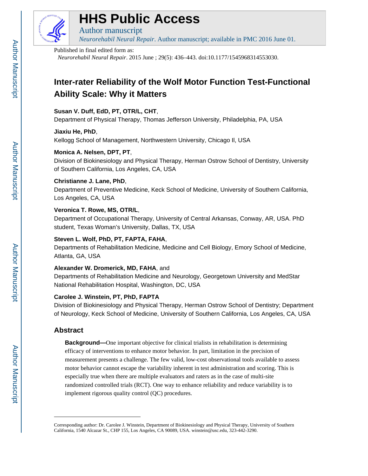

# **HHS Public Access**

Author manuscript *Neurorehabil Neural Repair*. Author manuscript; available in PMC 2016 June 01.

#### Published in final edited form as:

*Neurorehabil Neural Repair*. 2015 June ; 29(5): 436–443. doi:10.1177/1545968314553030.

# **Inter-rater Reliability of the Wolf Motor Function Test-Functional Ability Scale: Why it Matters**

## **Susan V. Duff, EdD, PT, OTR/L, CHT**,

Department of Physical Therapy, Thomas Jefferson University, Philadelphia, PA, USA

#### **Jiaxiu He, PhD**,

Kellogg School of Management, Northwestern University, Chicago Il, USA

# **Monica A. Nelsen, DPT, PT**,

Division of Biokinesiology and Physical Therapy, Herman Ostrow School of Dentistry, University of Southern California, Los Angeles, CA, USA

# **Christianne J. Lane, PhD**,

Department of Preventive Medicine, Keck School of Medicine, University of Southern California, Los Angeles, CA, USA

# **Veronica T. Rowe, MS, OTR/L**,

Department of Occupational Therapy, University of Central Arkansas, Conway, AR, USA. PhD student, Texas Woman's University, Dallas, TX, USA

# **Steven L. Wolf, PhD, PT, FAPTA, FAHA**,

Departments of Rehabilitation Medicine, Medicine and Cell Biology, Emory School of Medicine, Atlanta, GA, USA

#### **Alexander W. Dromerick, MD, FAHA**, and

Departments of Rehabilitation Medicine and Neurology, Georgetown University and MedStar National Rehabilitation Hospital, Washington, DC, USA

# **Carolee J. Winstein, PT, PhD, FAPTA**

Division of Biokinesiology and Physical Therapy, Herman Ostrow School of Dentistry; Department of Neurology, Keck School of Medicine, University of Southern California, Los Angeles, CA, USA

# **Abstract**

**Background—**One important objective for clinical trialists in rehabilitation is determining efficacy of interventions to enhance motor behavior. In part, limitation in the precision of measurement presents a challenge. The few valid, low-cost observational tools available to assess motor behavior cannot escape the variability inherent in test administration and scoring. This is especially true when there are multiple evaluators and raters as in the case of multi-site randomized controlled trials (RCT). One way to enhance reliability and reduce variability is to implement rigorous quality control (QC) procedures.

Corresponding author: Dr. Carolee J. Winstein, Department of Biokinesiology and Physical Therapy, University of Southern California, 1540 Alcazar St., CHP 155, Los Angeles, CA 90089, USA. winstein@usc.edu, 323-442-3290.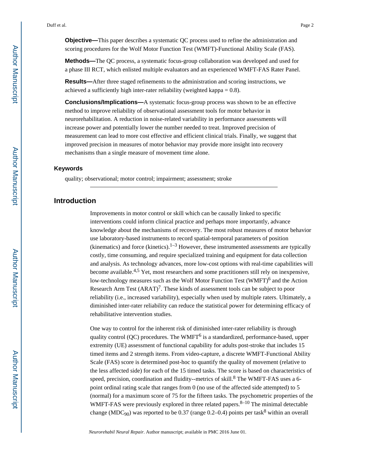**Objective—**This paper describes a systematic QC process used to refine the administration and scoring procedures for the Wolf Motor Function Test (WMFT)-Functional Ability Scale (FAS).

**Methods—**The QC process, a systematic focus-group collaboration was developed and used for a phase III RCT, which enlisted multiple evaluators and an experienced WMFT-FAS Rater Panel.

**Results—**After three staged refinements to the administration and scoring instructions, we achieved a sufficiently high inter-rater reliability (weighted kappa  $= 0.8$ ).

**Conclusions/Implications—**A systematic focus-group process was shown to be an effective method to improve reliability of observational assessment tools for motor behavior in neurorehabilitation. A reduction in noise-related variability in performance assessments will increase power and potentially lower the number needed to treat. Improved precision of measurement can lead to more cost effective and efficient clinical trials. Finally, we suggest that improved precision in measures of motor behavior may provide more insight into recovery mechanisms than a single measure of movement time alone.

#### **Keywords**

quality; observational; motor control; impairment; assessment; stroke

## **Introduction**

Improvements in motor control or skill which can be causally linked to specific interventions could inform clinical practice and perhaps more importantly, advance knowledge about the mechanisms of recovery. The most robust measures of motor behavior use laboratory-based instruments to record spatial-temporal parameters of position (kinematics) and force (kinetics). $1-3$  However, these instrumented assessments are typically costly, time consuming, and require specialized training and equipment for data collection and analysis. As technology advances, more low-cost options with real-time capabilities will become available.<sup>4,5</sup> Yet, most researchers and some practitioners still rely on inexpensive, low-technology measures such as the Wolf Motor Function Test (WMFT)<sup>6</sup> and the Action Research Arm Test  $(ARAT)^7$ . These kinds of assessment tools can be subject to poor reliability (i.e., increased variability), especially when used by multiple raters. Ultimately, a diminished inter-rater reliability can reduce the statistical power for determining efficacy of rehabilitative intervention studies.

One way to control for the inherent risk of diminished inter-rater reliability is through quality control (QC) procedures. The WMFT<sup>6</sup> is a standardized, performance-based, upper extremity (UE) assessment of functional capability for adults post-stroke that includes 15 timed items and 2 strength items. From video-capture, a discrete WMFT-Functional Ability Scale (FAS) score is determined post-hoc to quantify the quality of movement (relative to the less affected side) for each of the 15 timed tasks. The score is based on characteristics of speed, precision, coordination and fluidity--metrics of skill.<sup>8</sup> The WMFT-FAS uses a 6point ordinal rating scale that ranges from 0 (no use of the affected side attempted) to 5 (normal) for a maximum score of 75 for the fifteen tasks. The psychometric properties of the WMFT-FAS were previously explored in three related papers.  $8-10$  The minimal detectable change (MDC<sub>90</sub>) was reported to be 0.37 (range 0.2–0.4) points per task<sup>8</sup> within an overall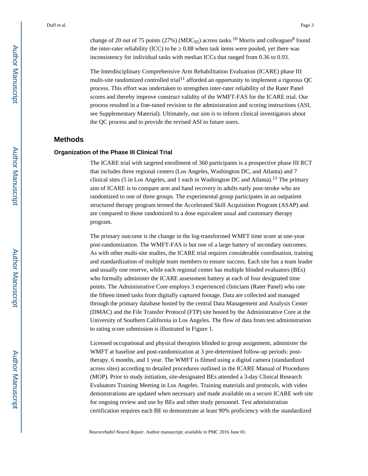change of 20 out of 75 points (27%) (MDC<sub>95</sub>) across tasks.<sup>10</sup> Morris and colleagues<sup>8</sup> found the inter-rater reliability  $(ICC)$  to be  $\ 0.88$  when task items were pooled, yet there was inconsistency for individual tasks with median ICCs that ranged from 0.36 to 0.93.

The Interdisciplinary Comprehensive Arm Rehabilitation Evaluation (ICARE) phase III multi-site randomized controlled trial<sup>11</sup> afforded an opportunity to implement a rigorous QC process. This effort was undertaken to strengthen inter-rater reliability of the Rater Panel scores and thereby improve construct validity of the WMFT-FAS for the ICARE trial. Our process resulted in a fine-tuned revision to the administration and scoring instructions (ASI, see Supplementary Material). Ultimately, our aim is to inform clinical investigators about the QC process and to provide the revised ASI to future users.

#### **Methods**

#### **Organization of the Phase III Clinical Trial**

The ICARE trial with targeted enrollment of 360 participants is a prospective phase III RCT that includes three regional centers (Los Angeles, Washington DC, and Atlanta) and 7 clinical sites (5 in Los Angeles, and 1 each in Washington DC and Atlanta).<sup>11</sup> The primary aim of ICARE is to compare arm and hand recovery in adults early post-stroke who are randomized to one of three groups. The experimental group participates in an outpatient structured therapy program termed the Accelerated Skill Acquisition Program (ASAP) and are compared to those randomized to a dose equivalent usual and customary therapy program.

The primary outcome is the change in the log-transformed WMFT time score at one-year post-randomization. The WMFT-FAS is but one of a large battery of secondary outcomes. As with other multi-site studies, the ICARE trial requires considerable coordination, training and standardization of multiple team members to ensure success. Each site has a team leader and usually one reserve, while each regional center has multiple blinded evaluators (BEs) who formally administer the ICARE assessment battery at each of four designated time points. The Administrative Core employs 3 experienced clinicians (Rater Panel) who rate the fifteen timed tasks from digitally captured footage. Data are collected and managed through the primary database hosted by the central Data Management and Analysis Center (DMAC) and the File Transfer Protocol (FTP) site hosted by the Administrative Core at the University of Southern California in Los Angeles. The flow of data from test administration to rating score submission is illustrated in Figure 1.

Licensed occupational and physical therapists blinded to group assignment, administer the WMFT at baseline and post-randomization at 3 pre-determined follow-up periods: posttherapy, 6 months, and 1 year. The WMFT is filmed using a digital camera (standardized across sites) according to detailed procedures outlined in the ICARE Manual of Procedures (MOP). Prior to study initiation, site-designated BEs attended a 3-day Clinical Research Evaluators Training Meeting in Los Angeles. Training materials and protocols, with video demonstrations are updated when necessary and made available on a secure ICARE web site for ongoing review and use by BEs and other study personnel. Test administration certification requires each BE to demonstrate at least 90% proficiency with the standardized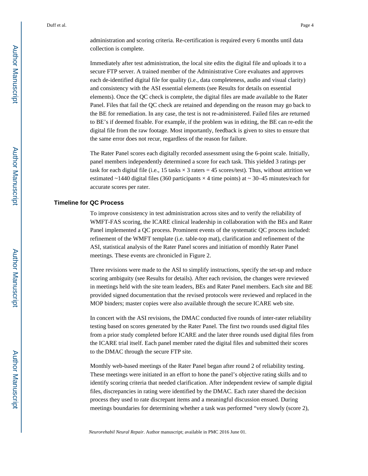administration and scoring criteria. Re-certification is required every 6 months until data collection is complete.

Immediately after test administration, the local site edits the digital file and uploads it to a secure FTP server. A trained member of the Administrative Core evaluates and approves each de-identified digital file for quality (i.e., data completeness, audio and visual clarity) and consistency with the ASI essential elements (see Results for details on essential elements). Once the QC check is complete, the digital files are made available to the Rater Panel. Files that fail the QC check are retained and depending on the reason may go back to the BE for remediation. In any case, the test is not re-administered. Failed files are returned to BE's if deemed fixable. For example, if the problem was in editing, the BE can re-edit the digital file from the raw footage. Most importantly, feedback is given to sites to ensure that the same error does not recur, regardless of the reason for failure.

The Rater Panel scores each digitally recorded assessment using the 6-point scale. Initially, panel members independently determined a score for each task. This yielded 3 ratings per task for each digital file (i.e., 15 tasks  $\times$  3 raters = 45 scores/test). Thus, without attrition we estimated  $\sim$ 1440 digital files (360 participants  $\times$  4 time points) at  $\sim$  30–45 minutes/each for accurate scores per rater.

#### **Timeline for QC Process**

To improve consistency in test administration across sites and to verify the reliability of WMFT-FAS scoring, the ICARE clinical leadership in collaboration with the BEs and Rater Panel implemented a QC process. Prominent events of the systematic QC process included: refinement of the WMFT template (i.e. table-top mat), clarification and refinement of the ASI, statistical analysis of the Rater Panel scores and initiation of monthly Rater Panel meetings. These events are chronicled in Figure 2.

Three revisions were made to the ASI to simplify instructions, specify the set-up and reduce scoring ambiguity (see Results for details). After each revision, the changes were reviewed in meetings held with the site team leaders, BEs and Rater Panel members. Each site and BE provided signed documentation that the revised protocols were reviewed and replaced in the MOP binders; master copies were also available through the secure ICARE web site.

In concert with the ASI revisions, the DMAC conducted five rounds of inter-rater reliability testing based on scores generated by the Rater Panel. The first two rounds used digital files from a prior study completed before ICARE and the later three rounds used digital files from the ICARE trial itself. Each panel member rated the digital files and submitted their scores to the DMAC through the secure FTP site.

Monthly web-based meetings of the Rater Panel began after round 2 of reliability testing. These meetings were initiated in an effort to hone the panel's objective rating skills and to identify scoring criteria that needed clarification. After independent review of sample digital files, discrepancies in rating were identified by the DMAC. Each rater shared the decision process they used to rate discrepant items and a meaningful discussion ensued. During meetings boundaries for determining whether a task was performed "very slowly (score 2),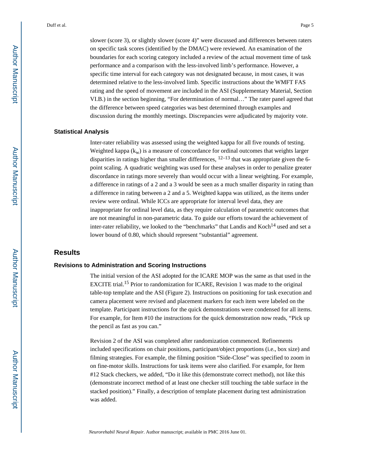slower (score 3), or slightly slower (score 4)" were discussed and differences between raters on specific task scores (identified by the DMAC) were reviewed. An examination of the boundaries for each scoring category included a review of the actual movement time of task performance and a comparison with the less-involved limb's performance. However, a specific time interval for each category was not designated because, in most cases, it was determined relative to the less-involved limb. Specific instructions about the WMFT FAS rating and the speed of movement are included in the ASI (Supplementary Material, Section VI.B.) in the section beginning, "For determination of normal…" The rater panel agreed that the difference between speed categories was best determined through examples and discussion during the monthly meetings. Discrepancies were adjudicated by majority vote.

#### **Statistical Analysis**

Inter-rater reliability was assessed using the weighted kappa for all five rounds of testing. Weighted kappa  $(k_w)$  is a measure of concordance for ordinal outcomes that weights larger disparities in ratings higher than smaller differences,  $12-13$  that was appropriate given the 6point scaling. A quadratic weighting was used for these analyses in order to penalize greater discordance in ratings more severely than would occur with a linear weighting. For example, a difference in ratings of a 2 and a 3 would be seen as a much smaller disparity in rating than a difference in rating between a 2 and a 5. Weighted kappa was utilized, as the items under review were ordinal. While ICCs are appropriate for interval level data, they are inappropriate for ordinal level data, as they require calculation of parametric outcomes that are not meaningful in non-parametric data. To guide our efforts toward the achievement of inter-rater reliability, we looked to the "benchmarks" that Landis and Koch<sup>14</sup> used and set a lower bound of 0.80, which should represent "substantial" agreement.

#### **Results**

#### **Revisions to Administration and Scoring Instructions**

The initial version of the ASI adopted for the ICARE MOP was the same as that used in the EXCITE trial.15 Prior to randomization for ICARE, Revision 1 was made to the original table-top template and the ASI (Figure 2). Instructions on positioning for task execution and camera placement were revised and placement markers for each item were labeled on the template. Participant instructions for the quick demonstrations were condensed for all items. For example, for Item #10 the instructions for the quick demonstration now reads, "Pick up the pencil as fast as you can."

Revision 2 of the ASI was completed after randomization commenced. Refinements included specifications on chair positions, participant/object proportions (i.e., box size) and filming strategies. For example, the filming position "Side-Close" was specified to zoom in on fine-motor skills. Instructions for task items were also clarified. For example, for Item #12 Stack checkers, we added, "Do it like this (demonstrate correct method), not like this (demonstrate incorrect method of at least one checker still touching the table surface in the stacked position)." Finally, a description of template placement during test administration was added.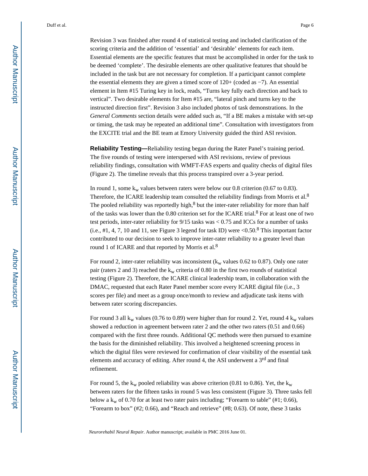Revision 3 was finished after round 4 of statistical testing and included clarification of the scoring criteria and the addition of 'essential' and 'desirable' elements for each item. Essential elements are the specific features that must be accomplished in order for the task to be deemed 'complete'. The desirable elements are other qualitative features that should be included in the task but are not necessary for completion. If a participant cannot complete the essential elements they are given a timed score of 120+ (coded as −7). An essential element in Item #15 Turing key in lock, reads, "Turns key fully each direction and back to vertical". Two desirable elements for Item #15 are, "lateral pinch and turns key to the instructed direction first". Revision 3 also included photos of task demonstrations. In the *General Comments* section details were added such as, "If a BE makes a mistake with set-up or timing, the task may be repeated an additional time". Consultation with investigators from the EXCITE trial and the BE team at Emory University guided the third ASI revision.

**Reliability Testing—**Reliability testing began during the Rater Panel's training period. The five rounds of testing were interspersed with ASI revisions, review of previous reliability findings, consultation with WMFT-FAS experts and quality checks of digital files (Figure 2). The timeline reveals that this process transpired over a 3-year period.

In round 1, some  $k_w$  values between raters were below our 0.8 criterion (0.67 to 0.83). Therefore, the ICARE leadership team consulted the reliability findings from Morris et al.<sup>8</sup> The pooled reliability was reportedly high, $8$  but the inter-rater reliability for more than half of the tasks was lower than the 0.80 criterion set for the ICARE trial.<sup>8</sup> For at least one of two test periods, inter-rater reliability for 9/15 tasks was < 0.75 and ICCs for a number of tasks (i.e.,  $\#1$ , 4, 7, 10 and 11, see Figure 3 legend for task ID) were <0.50.8 This important factor contributed to our decision to seek to improve inter-rater reliability to a greater level than round 1 of ICARE and that reported by Morris et al.<sup>8</sup>

For round 2, inter-rater reliability was inconsistent ( $k_w$  values 0.62 to 0.87). Only one rater pair (raters 2 and 3) reached the  $k_w$  criteria of 0.80 in the first two rounds of statistical testing (Figure 2). Therefore, the ICARE clinical leadership team, in collaboration with the DMAC, requested that each Rater Panel member score every ICARE digital file (i.e., 3 scores per file) and meet as a group once/month to review and adjudicate task items with between rater scoring discrepancies.

For round 3 all  $k_w$  values (0.76 to 0.89) were higher than for round 2. Yet, round 4  $k_w$  values showed a reduction in agreement between rater 2 and the other two raters (0.51 and 0.66) compared with the first three rounds. Additional QC methods were then pursued to examine the basis for the diminished reliability. This involved a heightened screening process in which the digital files were reviewed for confirmation of clear visibility of the essential task elements and accuracy of editing. After round 4, the ASI underwent a 3rd and final refinement.

For round 5, the  $k_w$  pooled reliability was above criterion (0.81 to 0.86). Yet, the  $k_w$ between raters for the fifteen tasks in round 5 was less consistent (Figure 3). Three tasks fell below a  $k_w$  of 0.70 for at least two rater pairs including; "Forearm to table" (#1; 0.66), "Forearm to box"  $(42, 0.66)$ , and "Reach and retrieve"  $(48, 0.63)$ . Of note, these 3 tasks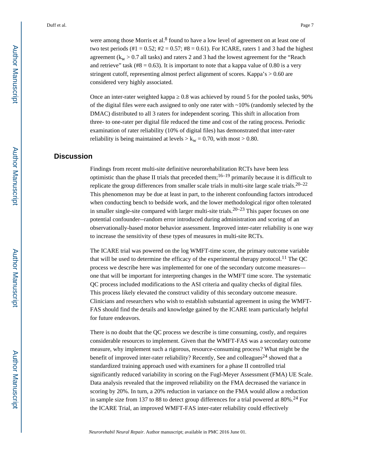were among those Morris et al. $8$  found to have a low level of agreement on at least one of two test periods (#1 = 0.52; #2 = 0.57; #8 = 0.61). For ICARE, raters 1 and 3 had the highest agreement ( $k_w > 0.7$  all tasks) and raters 2 and 3 had the lowest agreement for the "Reach and retrieve" task  $(\text{\#8} = 0.63)$ . It is important to note that a kappa value of 0.80 is a very stringent cutoff, representing almost perfect alignment of scores. Kappa's > 0.60 are considered very highly associated.

Once an inter-rater weighted kappa  $\,$  0.8 was achieved by round 5 for the pooled tasks, 90% of the digital files were each assigned to only one rater with ~10% (randomly selected by the DMAC) distributed to all 3 raters for independent scoring. This shift in allocation from three- to one-rater per digital file reduced the time and cost of the rating process. Periodic examination of rater reliability (10% of digital files) has demonstrated that inter-rater reliability is being maintained at levels  $> k_w = 0.70$ , with most  $> 0.80$ .

# **Discussion**

Findings from recent multi-site definitive neurorehabilitation RCTs have been less optimistic than the phase II trials that preceded them;  $16-19$  primarily because it is difficult to replicate the group differences from smaller scale trials in multi-site large scale trials.20–22 This phenomenon may be due at least in part, to the inherent confounding factors introduced when conducting bench to bedside work, and the lower methodological rigor often tolerated in smaller single-site compared with larger multi-site trials.<sup>20–23</sup> This paper focuses on one potential confounder--random error introduced during administration and scoring of an observationally-based motor behavior assessment. Improved inter-rater reliability is one way to increase the sensitivity of these types of measures in multi-site RCTs.

The ICARE trial was powered on the log WMFT-time score, the primary outcome variable that will be used to determine the efficacy of the experimental therapy protocol.<sup>11</sup> The QC process we describe here was implemented for one of the secondary outcome measures one that will be important for interpreting changes in the WMFT time score. The systematic QC process included modifications to the ASI criteria and quality checks of digital files. This process likely elevated the construct validity of this secondary outcome measure. Clinicians and researchers who wish to establish substantial agreement in using the WMFT-FAS should find the details and knowledge gained by the ICARE team particularly helpful for future endeavors.

There is no doubt that the QC process we describe is time consuming, costly, and requires considerable resources to implement. Given that the WMFT-FAS was a secondary outcome measure, why implement such a rigorous, resource-consuming process? What might be the benefit of improved inter-rater reliability? Recently, See and colleagues<sup>24</sup> showed that a standardized training approach used with examiners for a phase II controlled trial significantly reduced variability in scoring on the Fugl-Meyer Assessment (FMA) UE Scale. Data analysis revealed that the improved reliability on the FMA decreased the variance in scoring by 20%. In turn, a 20% reduction in variance on the FMA would allow a reduction in sample size from 137 to 88 to detect group differences for a trial powered at 80%.<sup>24</sup> For the ICARE Trial, an improved WMFT-FAS inter-rater reliability could effectively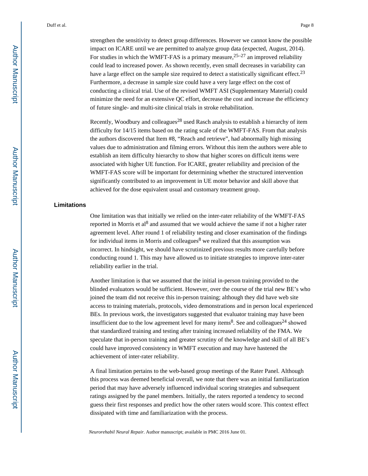strengthen the sensitivity to detect group differences. However we cannot know the possible impact on ICARE until we are permitted to analyze group data (expected, August, 2014). For studies in which the WMFT-FAS is a primary measure,  $25-27$  an improved reliability could lead to increased power. As shown recently, even small decreases in variability can have a large effect on the sample size required to detect a statistically significant effect.<sup>23</sup> Furthermore, a decrease in sample size could have a very large effect on the cost of conducting a clinical trial. Use of the revised WMFT ASI (Supplementary Material) could minimize the need for an extensive QC effort, decrease the cost and increase the efficiency of future single- and multi-site clinical trials in stroke rehabilitation.

Recently, Woodbury and colleagues<sup>28</sup> used Rasch analysis to establish a hierarchy of item difficulty for 14/15 items based on the rating scale of the WMFT-FAS. From that analysis the authors discovered that Item #8, "Reach and retrieve", had abnormally high missing values due to administration and filming errors. Without this item the authors were able to establish an item difficulty hierarchy to show that higher scores on difficult items were associated with higher UE function. For ICARE, greater reliability and precision of the WMFT-FAS score will be important for determining whether the structured intervention significantly contributed to an improvement in UE motor behavior and skill above that achieved for the dose equivalent usual and customary treatment group.

#### **Limitations**

One limitation was that initially we relied on the inter-rater reliability of the WMFT-FAS reported in Morris et al<sup>8</sup> and assumed that we would achieve the same if not a higher rater agreement level. After round 1 of reliability testing and closer examination of the findings for individual items in Morris and colleagues<sup>8</sup> we realized that this assumption was incorrect. In hindsight, we should have scrutinized previous results more carefully before conducting round 1. This may have allowed us to initiate strategies to improve inter-rater reliability earlier in the trial.

Another limitation is that we assumed that the initial in-person training provided to the blinded evaluators would be sufficient. However, over the course of the trial new BE's who joined the team did not receive this in-person training; although they did have web site access to training materials, protocols, video demonstrations and in person local experienced BEs. In previous work, the investigators suggested that evaluator training may have been insufficient due to the low agreement level for many items<sup>8</sup>. See and colleagues<sup>24</sup> showed that standardized training and testing after training increased reliability of the FMA. We speculate that in-person training and greater scrutiny of the knowledge and skill of all BE's could have improved consistency in WMFT execution and may have hastened the achievement of inter-rater reliability.

A final limitation pertains to the web-based group meetings of the Rater Panel. Although this process was deemed beneficial overall, we note that there was an initial familiarization period that may have adversely influenced individual scoring strategies and subsequent ratings assigned by the panel members. Initially, the raters reported a tendency to second guess their first responses and predict how the other raters would score. This context effect dissipated with time and familiarization with the process.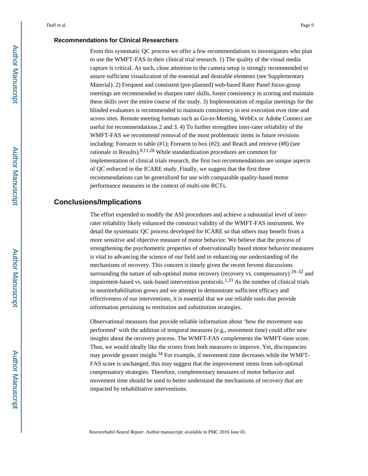#### **Recommendations for Clinical Researchers**

From this systematic QC process we offer a few recommendations to investigators who plan to use the WMFT-FAS in their clinical trial research. 1) The quality of the visual media capture is critical. As such, close attention to the camera setup is strongly recommended to assure sufficient visualization of the essential and desirable elements (see Supplementary Material). 2) Frequent and consistent (pre-planned) web-based Rater Panel focus-group meetings are recommended to sharpen rater skills, foster consistency in scoring and maintain these skills over the entire course of the study. 3) Implementation of regular meetings for the blinded evaluators is recommended to maintain consistency in test execution over time and across sites. Remote meeting formats such as Go-to-Meeting, WebEx or Adobe Connect are useful for recommendations 2 and 3. 4) To further strengthen inter-rater reliability of the WMFT-FAS we recommend removal of the most problematic items in future revisions including: Forearm to table (#1); Forearm to box (#2); and Reach and retrieve (#8) (see rationale in Results).8,11,28 While standardization procedures are common for implementation of clinical trials research, the first two recommendations are unique aspects of QC enforced in the ICARE study. Finally, we suggest that the first three recommendations can be generalized for use with comparable quality-based motor performance measures in the context of multi-site RCTs.

#### **Conclusions/Implications**

The effort expended to modify the ASI procedures and achieve a substantial level of interrater reliability likely enhanced the construct validity of the WMFT-FAS instrument. We detail the systematic QC process developed for ICARE so that others may benefit from a more sensitive and objective measure of motor behavior. We believe that the process of strengthening the psychometric properties of observationally based motor behavior measures is vital to advancing the science of our field and to enhancing our understanding of the mechanisms of recovery. This concern is timely given the recent fervent discussions surrounding the nature of sub-optimal motor recovery (recovery vs. compensatory)  $29-32$  and impairment-based vs. task-based intervention protocols.<sup>1,33</sup> As the number of clinical trials in neurorehabilitation grows and we attempt to demonstrate sufficient efficacy and effectiveness of our interventions, it is essential that we use reliable tools that provide information pertaining to restitution and substitution strategies.

Observational measures that provide reliable information about 'how the movement was performed' with the addition of temporal measures (e.g., movement time) could offer new insights about the recovery process. The WMFT-FAS complements the WMFT-time score. Thus, we would ideally like the scores from both measures to improve. Yet, discrepancies may provide greater insight.<sup>34</sup> For example, if movement time decreases while the WMFT-FAS score is unchanged, this may suggest that the improvement stems from sub-optimal compensatory strategies. Therefore, complementary measures of motor behavior and movement time should be used to better understand the mechanisms of recovery that are impacted by rehabilitative interventions.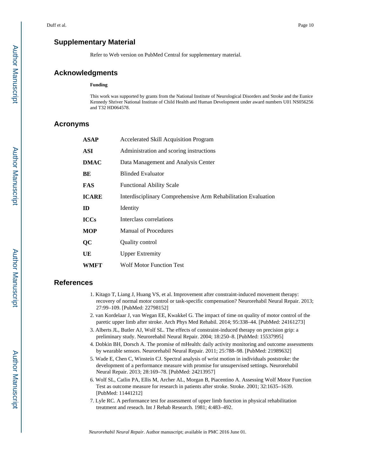# **Supplementary Material**

Refer to Web version on PubMed Central for supplementary material.

## **Acknowledgments**

#### **Funding**

This work was supported by grants from the National Institute of Neurological Disorders and Stroke and the Eunice Kennedy Shriver National Institute of Child Health and Human Development under award numbers U01 NS056256 and T32 HD064578.

#### **Acronyms**

| <b>ASAP</b>  | <b>Accelerated Skill Acquisition Program</b>                  |
|--------------|---------------------------------------------------------------|
| ASI          | Administration and scoring instructions                       |
| <b>DMAC</b>  | Data Management and Analysis Center                           |
| BE           | <b>Blinded Evaluator</b>                                      |
| FAS          | <b>Functional Ability Scale</b>                               |
| <b>ICARE</b> | Interdisciplinary Comprehensive Arm Rehabilitation Evaluation |
| ID           | Identity                                                      |
| <b>ICCs</b>  | Interclass correlations                                       |
| <b>MOP</b>   | <b>Manual of Procedures</b>                                   |
| QC           | Quality control                                               |
| UE           | <b>Upper Extremity</b>                                        |
| WMFT         | <b>Wolf Motor Function Test</b>                               |

#### **References**

- 1. Kitago T, Liang J, Huang VS, et al. Improvement after constraint-induced movement therapy: recovery of normal motor control or task-specific compensation? Neurorehabil Neural Repair. 2013; 27:99–109. [PubMed: 22798152]
- 2. van Kordelaar J, van Wegan EE, Kwakkel G. The impact of time on quality of motor control of the paretic upper limb after stroke. Arch Phys Med Rehabil. 2014; 95:338–44. [PubMed: 24161273]
- 3. Alberts JL, Butler AJ, Wolf SL. The effects of constraint-induced therapy on precision grip: a preliminary study. Neurorehabil Neural Repair. 2004; 18:250–8. [PubMed: 15537995]
- 4. Dobkin BH, Dorsch A. The promise of mHealth: daily activity monitoring and outcome assessments by wearable sensors. Neurorehabil Neural Repair. 2011; 25:788–98. [PubMed: 21989632]
- 5. Wade E, Chen C, Winstein CJ. Spectral analysis of wrist motion in individuals poststroke: the development of a performance measure with promise for unsupervised settings. Neurorehabil Neural Repair. 2013; 28:169–78. [PubMed: 24213957]
- 6. Wolf SL, Catlin PA, Ellis M, Archer AL, Morgan B, Piacentino A. Assessing Wolf Motor Function Test as outcome measure for research in patients after stroke. Stroke. 2001; 32:1635–1639. [PubMed: 11441212]
- 7. Lyle RC. A performance test for assessment of upper limb function in physical rehabilitation treatment and reseach. Int J Rehab Research. 1981; 4:483–492.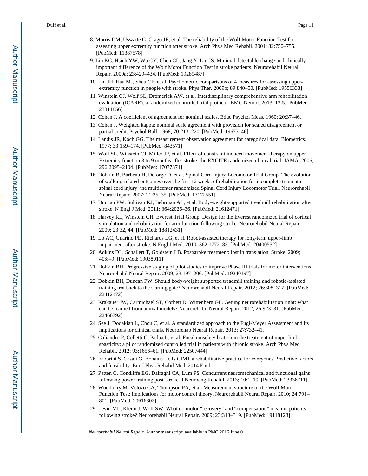- 8. Morris DM, Uswatte G, Crago JE, et al. The reliability of the Wolf Motor Function Test for assessing upper extremity function after stroke. Arch Phys Med Rehabil. 2001; 82:750–755. [PubMed: 11387578]
- 9. Lin KC, Hsieh YW, Wu CY, Chen CL, Jang Y, Liu JS. Minimal detectable change and clinically important difference of the Wolf Motor Function Test in stroke patients. Neurorehabil Neural Repair. 2009a; 23:429–434. [PubMed: 19289487]
- 10. Lin JH, Hsu MJ, Sheu CF, et al. Psychometric comparisons of 4 measures for assessing upperextremity function in people with stroke. Phys Ther. 2009b; 89:840–50. [PubMed: 19556333]
- 11. Winstein CJ, Wolf SL, Dromerick AW, et al. Interdisciplinary comprehensive arm rehabilitation evaluation (ICARE): a randomized controlled trial protocol. BMC Neurol. 2013; 13:5. [PubMed: 23311856]
- 12. Cohen J. A coefficient of agreement for nominal scales. Educ Psychol Meas. 1960; 20:37–46.
- 13. Cohen J. Weighted kappa: nominal scale agreement with provision for scaled disagreement or partial credit. Psychol Bull. 1968; 70:213–220. [PubMed: 19673146]
- 14. Landis JR, Koch GG. The measurement observation agreement for categorical data. Biometrics. 1977; 33:159–174. [PubMed: 843571]
- 15. Wolf SL, Winstein CJ, Miller JP, et al. Effect of constraint induced movement therapy on upper Extremity function 3 to 9 months after stroke: the EXCITE randomized clinical trial. JAMA. 2006; 296:2095–2104. [PubMed: 17077374]
- 16. Dobkin B, Barbeau H, Deforge D, et al. Spinal Cord Injury Locomotor Trial Group. The evolution of walking-related outcomes over the first 12 weeks of rehabilitation for incomplete traumatic spinal cord injury: the multicenter randomized Spinal Cord Injury Locomotor Trial. Neurorehabil Neural Repair. 2007; 21:25–35. [PubMed: 17172551]
- 17. Duncan PW, Sullivan KJ, Behrman AL, et al. Body-weight-supported treadmill rehabilitation after stroke. N Engl J Med. 2011; 364:2026–36. [PubMed: 21612471]
- 18. Harvey RL, Winstein CH. Everest Trial Group. Design for the Everest randomized trial of cortical stimulation and rehabilitation for arm function following stroke. Neurorehabil Neural Repair. 2009; 23:32, 44. [PubMed: 18812431]
- 19. Lo AC, Guarino PD, Richards LG, et al. Robot-assisted therapy for long-term upper-limb impairment after stroke. N Engl J Med. 2010; 362:1772–83. [PubMed: 20400552]
- 20. Adkins DL, Schallert T, Goldstein LB. Poststroke treatment: lost in translation. Stroke. 2009; 40:8–9. [PubMed: 19038911]
- 21. Dobkin BH. Progressive staging of pilot studies to improve Phase III trials for motor interventions. Neurorehabil Neural Repair. 2009; 23:197–206. [PubMed: 19240197]
- 22. Dobkin BH, Duncan PW. Should body-weight supported treadmill training and robotic-assisted training trot back to the starting gate? Neurorehabil Neural Repair. 2012; 26:308–317. [PubMed: 22412172]
- 23. Krakauer JW, Carmichael ST, Corbett D, Wittenberg GF. Getting neurorehabilitation right: what can be learned from animal models? Neurorehabil Neural Repair. 2012; 26:923–31. [PubMed: 22466792]
- 24. See J, Dodakian L, Chou C, et al. A standardized approach to the Fugl-Meyer Assessment and its implications for clinical trials. Neurorehab Neural Repair. 2013; 27:732–41.
- 25. Caliandro P, Celletti C, Padua L, et al. Focal muscle vibration in the treatment of upper limb spasticity: a pilot randomized controlled trial in patients with chronic stroke. Arch Phys Med Rehabil. 2012; 93:1656–61. [PubMed: 22507444]
- 26. Fabbrini S, Casati G, Bonaiuti D. Is CIMT a rehabilitative practice for everyone? Predictive factors and feasibility. Eur J Phys Rehabil Med. 2014 Epub.
- 27. Patten C, Condliffe EG, Dairaghi CA, Lum PS. Concurrent neuromechanical and functional gains following power training post-stroke. J Neuroeng Rehabil. 2013; 10:1–19. [PubMed: 23336711]
- 28. Woodbury M, Velozo CA, Thompson PA, et al. Measurement structure of the Wolf Motor Function Test: implications for motor control theory. Neurorehabil Neural Repair. 2010; 24:791– 801. [PubMed: 20616302]
- 29. Levin ML, Kleim J, Wolf SW. What do motor "recovery" and "compensation" mean in patients following stroke? Neurorehabil Neural Repair. 2009; 23:313–319. [PubMed: 19118128]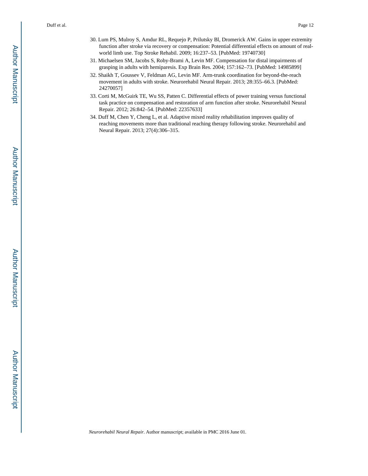- 30. Lum PS, Mulroy S, Amdur RL, Requejo P, Prilutsky Bl, Dromerick AW. Gains in upper extremity function after stroke via recovery or compensation: Potential differential effects on amount of realworld limb use. Top Stroke Rehabil. 2009; 16:237–53. [PubMed: 19740730]
- 31. Michaelsen SM, Jacobs S, Roby-Brami A, Levin MF. Compensation for distal impairments of grasping in adults with hemiparesis. Exp Brain Res. 2004; 157:162–73. [PubMed: 14985899]
- 32. Shaikh T, Goussev V, Feldman AG, Levin MF. Arm-trunk coordination for beyond-the-reach movement in adults with stroke. Neurorehabil Neural Repair. 2013; 28:355–66.3. [PubMed: 24270057]
- 33. Corti M, McGuirk TE, Wu SS, Patten C. Differential effects of power training versus functional task practice on compensation and restoration of arm function after stroke. Neurorehabil Neural Repair. 2012; 26:842–54. [PubMed: 22357633]
- 34. Duff M, Chen Y, Cheng L, et al. Adaptive mixed reality rehabilitation improves quality of reaching movements more than traditional reaching therapy following stroke. Neurorehabil and Neural Repair. 2013; 27(4):306–315.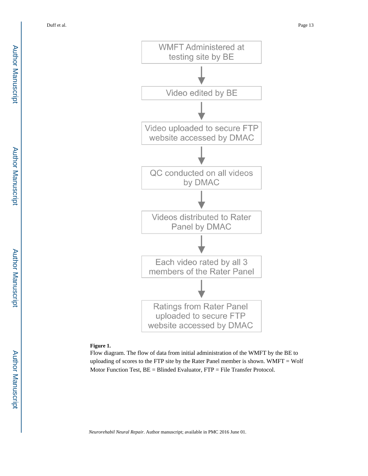

#### **Figure 1.**

Flow diagram. The flow of data from initial administration of the WMFT by the BE to uploading of scores to the FTP site by the Rater Panel member is shown. WMFT = Wolf Motor Function Test, BE = Blinded Evaluator, FTP = File Transfer Protocol.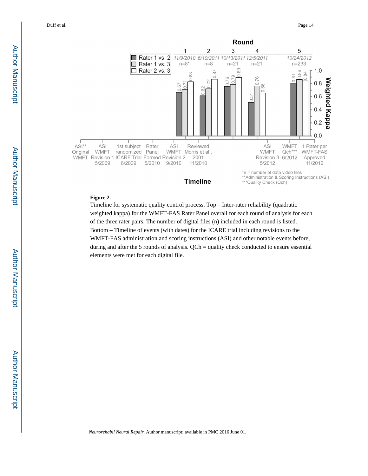

#### **Figure 2.**

Timeline for systematic quality control process. Top – Inter-rater reliability (quadratic weighted kappa) for the WMFT-FAS Rater Panel overall for each round of analysis for each of the three rater pairs. The number of digital files (n) included in each round is listed. Bottom – Timeline of events (with dates) for the ICARE trial including revisions to the WMFT-FAS administration and scoring instructions (ASI) and other notable events before, during and after the 5 rounds of analysis. QCh = quality check conducted to ensure essential elements were met for each digital file.